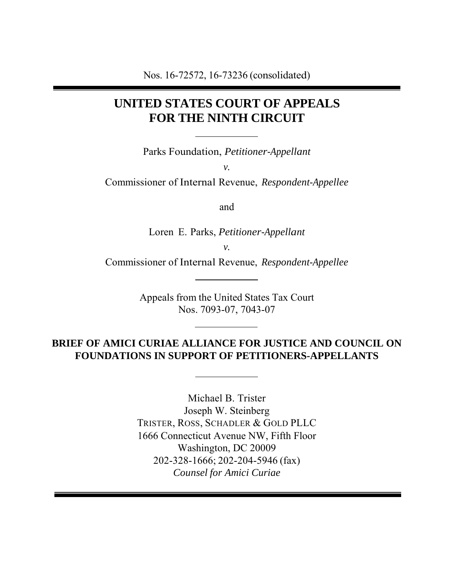# **UNITED STATES COURT OF APPEALS FOR THE NINTH CIRCUIT**

Parks Foundation, *Petitioner-Appellant*

*v.*

Commissioner of Internal Revenue, *Respondent-Appellee*

and

Loren E. Parks, *Petitioner-Appellant*

*v.*

Commissioner of Internal Revenue, *Respondent-Appellee*

Appeals from the United States Tax Court Nos. 7093-07, 7043-07

### **BRIEF OF AMICI CURIAE ALLIANCE FOR JUSTICE AND COUNCIL ON FOUNDATIONS IN SUPPORT OF PETITIONERS-APPELLANTS**

Michael B. Trister Joseph W. Steinberg TRISTER, ROSS, SCHADLER & GOLD PLLC 1666 Connecticut Avenue NW, Fifth Floor Washington, DC 20009 202-328-1666; 202-204-5946 (fax) *Counsel for Amici Curiae*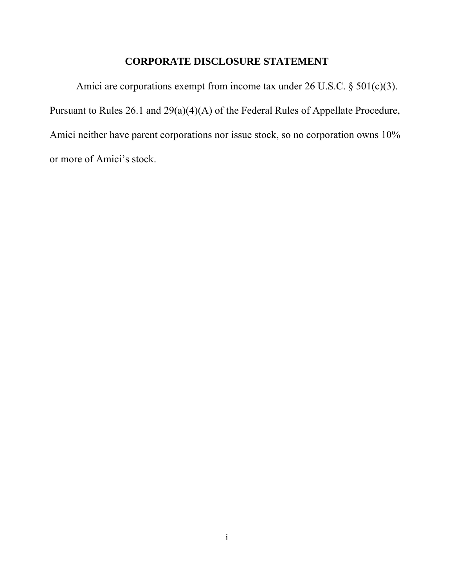#### **CORPORATE DISCLOSURE STATEMENT**

Amici are corporations exempt from income tax under 26 U.S.C. § 501(c)(3). Pursuant to Rules 26.1 and 29(a)(4)(A) of the Federal Rules of Appellate Procedure, Amici neither have parent corporations nor issue stock, so no corporation owns 10% or more of Amici's stock.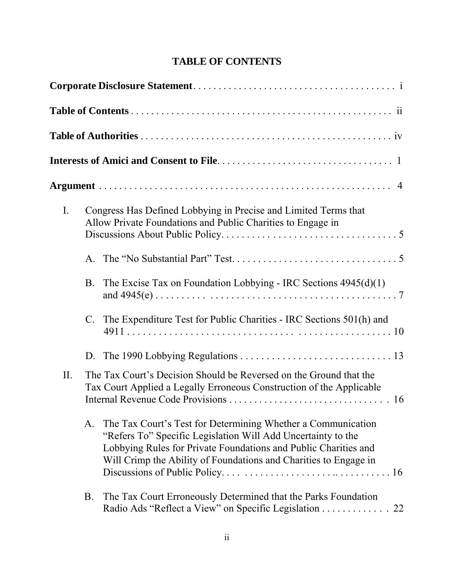| <b>TABLE OF CONTENTS</b> |
|--------------------------|
|                          |

| $\mathbf{I}$ . |             | Congress Has Defined Lobbying in Precise and Limited Terms that<br>Allow Private Foundations and Public Charities to Engage in                                                                                                                                      |  |  |  |  |
|----------------|-------------|---------------------------------------------------------------------------------------------------------------------------------------------------------------------------------------------------------------------------------------------------------------------|--|--|--|--|
|                | $A_{\cdot}$ |                                                                                                                                                                                                                                                                     |  |  |  |  |
|                | <b>B</b> .  | The Excise Tax on Foundation Lobbying - IRC Sections $4945(d)(1)$                                                                                                                                                                                                   |  |  |  |  |
|                | $C_{\cdot}$ | The Expenditure Test for Public Charities - IRC Sections 501(h) and                                                                                                                                                                                                 |  |  |  |  |
|                | D.          |                                                                                                                                                                                                                                                                     |  |  |  |  |
| II.            |             | The Tax Court's Decision Should be Reversed on the Ground that the<br>Tax Court Applied a Legally Erroneous Construction of the Applicable                                                                                                                          |  |  |  |  |
|                | A.          | The Tax Court's Test for Determining Whether a Communication<br>"Refers To" Specific Legislation Will Add Uncertainty to the<br>Lobbying Rules for Private Foundations and Public Charities and<br>Will Crimp the Ability of Foundations and Charities to Engage in |  |  |  |  |
|                | <b>B.</b>   | The Tax Court Erroneously Determined that the Parks Foundation<br>Radio Ads "Reflect a View" on Specific Legislation 22                                                                                                                                             |  |  |  |  |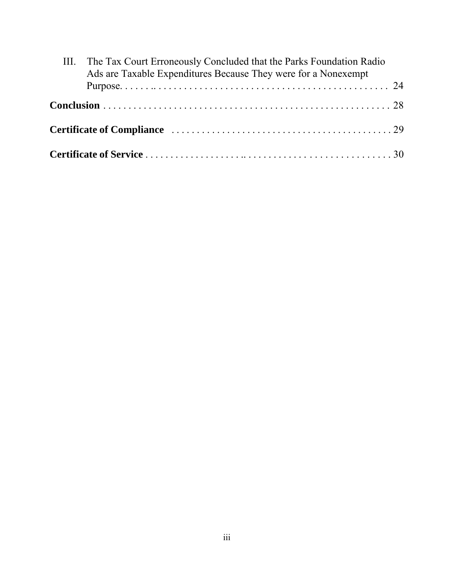| III. The Tax Court Erroneously Concluded that the Parks Foundation Radio<br>Ads are Taxable Expenditures Because They were for a Nonexempt |  |
|--------------------------------------------------------------------------------------------------------------------------------------------|--|
|                                                                                                                                            |  |
|                                                                                                                                            |  |
|                                                                                                                                            |  |
|                                                                                                                                            |  |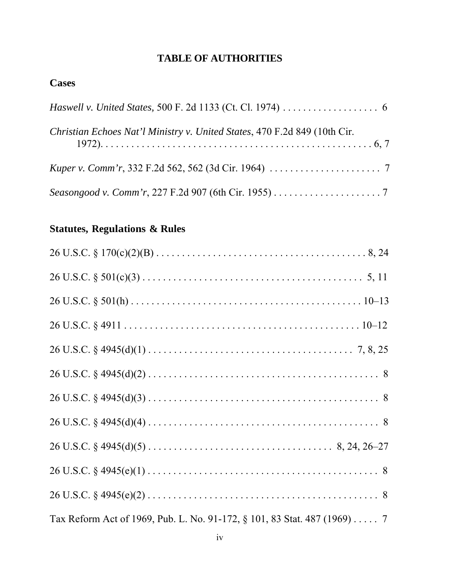# **TABLE OF AUTHORITIES**

## **Cases**

| Christian Echoes Nat'l Ministry v. United States, 470 F.2d 849 (10th Cir. |
|---------------------------------------------------------------------------|
|                                                                           |
|                                                                           |

# **Statutes, Regulations & Rules**

| Tax Reform Act of 1969, Pub. L. No. 91-172, § 101, 83 Stat. 487 (1969) 7 |  |
|--------------------------------------------------------------------------|--|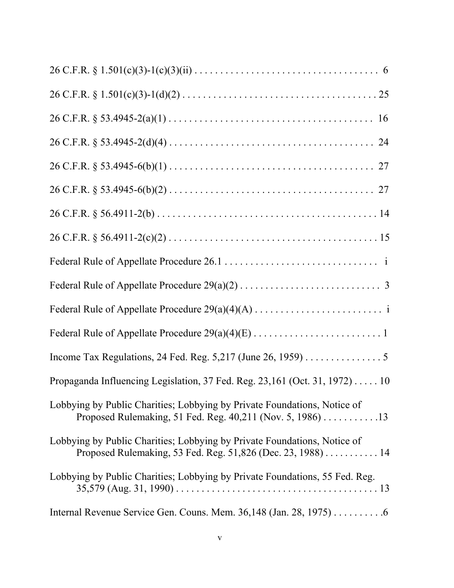| Income Tax Regulations, 24 Fed. Reg. $5,217$ (June 26, 1959) 5                                                                          |
|-----------------------------------------------------------------------------------------------------------------------------------------|
| Propaganda Influencing Legislation, 37 Fed. Reg. 23,161 (Oct. 31, 1972) 10                                                              |
| Lobbying by Public Charities; Lobbying by Private Foundations, Notice of<br>Proposed Rulemaking, 51 Fed. Reg. 40,211 (Nov. 5, 1986) 13  |
| Lobbying by Public Charities; Lobbying by Private Foundations, Notice of<br>Proposed Rulemaking, 53 Fed. Reg. 51,826 (Dec. 23, 1988) 14 |
| Lobbying by Public Charities; Lobbying by Private Foundations, 55 Fed. Reg.                                                             |
| Internal Revenue Service Gen. Couns. Mem. $36,148$ (Jan. 28, 1975) 6                                                                    |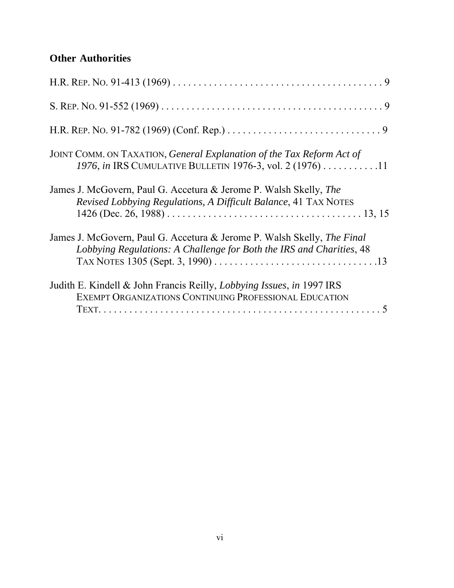## **Other Authorities**

| JOINT COMM. ON TAXATION, General Explanation of the Tax Reform Act of<br>1976, in IRS CUMULATIVE BULLETIN 1976-3, vol. 2 (1976) 11              |
|-------------------------------------------------------------------------------------------------------------------------------------------------|
| James J. McGovern, Paul G. Accetura & Jerome P. Walsh Skelly, The<br>Revised Lobbying Regulations, A Difficult Balance, 41 TAX NOTES            |
| James J. McGovern, Paul G. Accetura & Jerome P. Walsh Skelly, The Final<br>Lobbying Regulations: A Challenge for Both the IRS and Charities, 48 |
| Judith E. Kindell & John Francis Reilly, <i>Lobbying Issues</i> , <i>in</i> 1997 IRS<br>EXEMPT ORGANIZATIONS CONTINUING PROFESSIONAL EDUCATION  |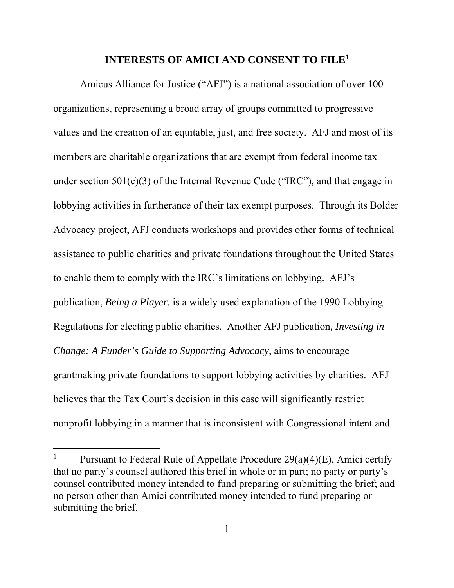#### **INTERESTS OF AMICI AND CONSENT TO FILE1**

Amicus Alliance for Justice ("AFJ") is a national association of over 100 organizations, representing a broad array of groups committed to progressive values and the creation of an equitable, just, and free society. AFJ and most of its members are charitable organizations that are exempt from federal income tax under section  $501(c)(3)$  of the Internal Revenue Code ("IRC"), and that engage in lobbying activities in furtherance of their tax exempt purposes. Through its Bolder Advocacy project, AFJ conducts workshops and provides other forms of technical assistance to public charities and private foundations throughout the United States to enable them to comply with the IRC's limitations on lobbying. AFJ's publication, *Being a Player*, is a widely used explanation of the 1990 Lobbying Regulations for electing public charities. Another AFJ publication, *Investing in Change: A Funder's Guide to Supporting Advocacy*, aims to encourage grantmaking private foundations to support lobbying activities by charities. AFJ believes that the Tax Court's decision in this case will significantly restrict nonprofit lobbying in a manner that is inconsistent with Congressional intent and

 $\overline{a}$ 

<sup>1</sup> Pursuant to Federal Rule of Appellate Procedure 29(a)(4)(E), Amici certify that no party's counsel authored this brief in whole or in part; no party or party's counsel contributed money intended to fund preparing or submitting the brief; and no person other than Amici contributed money intended to fund preparing or submitting the brief.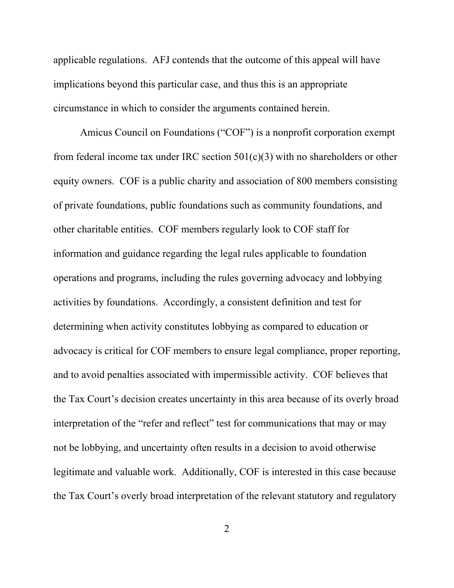applicable regulations. AFJ contends that the outcome of this appeal will have implications beyond this particular case, and thus this is an appropriate circumstance in which to consider the arguments contained herein.

Amicus Council on Foundations ("COF") is a nonprofit corporation exempt from federal income tax under IRC section  $501(c)(3)$  with no shareholders or other equity owners. COF is a public charity and association of 800 members consisting of private foundations, public foundations such as community foundations, and other charitable entities. COF members regularly look to COF staff for information and guidance regarding the legal rules applicable to foundation operations and programs, including the rules governing advocacy and lobbying activities by foundations. Accordingly, a consistent definition and test for determining when activity constitutes lobbying as compared to education or advocacy is critical for COF members to ensure legal compliance, proper reporting, and to avoid penalties associated with impermissible activity. COF believes that the Tax Court's decision creates uncertainty in this area because of its overly broad interpretation of the "refer and reflect" test for communications that may or may not be lobbying, and uncertainty often results in a decision to avoid otherwise legitimate and valuable work. Additionally, COF is interested in this case because the Tax Court's overly broad interpretation of the relevant statutory and regulatory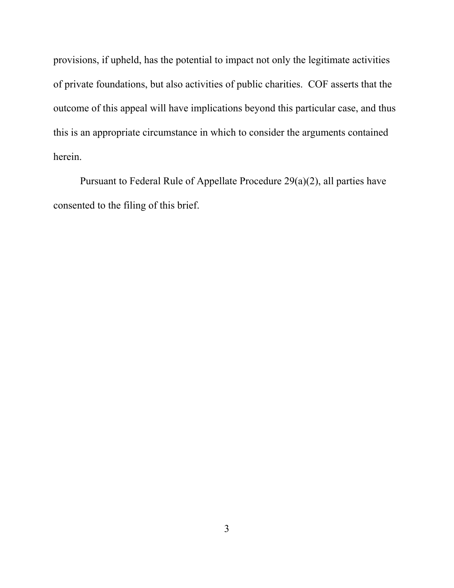provisions, if upheld, has the potential to impact not only the legitimate activities of private foundations, but also activities of public charities. COF asserts that the outcome of this appeal will have implications beyond this particular case, and thus this is an appropriate circumstance in which to consider the arguments contained herein.

Pursuant to Federal Rule of Appellate Procedure 29(a)(2), all parties have consented to the filing of this brief.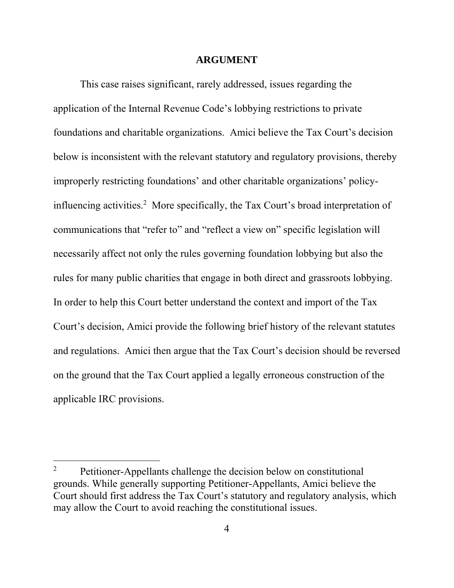#### **ARGUMENT**

This case raises significant, rarely addressed, issues regarding the application of the Internal Revenue Code's lobbying restrictions to private foundations and charitable organizations. Amici believe the Tax Court's decision below is inconsistent with the relevant statutory and regulatory provisions, thereby improperly restricting foundations' and other charitable organizations' policyinfluencing activities.<sup>2</sup> More specifically, the Tax Court's broad interpretation of communications that "refer to" and "reflect a view on" specific legislation will necessarily affect not only the rules governing foundation lobbying but also the rules for many public charities that engage in both direct and grassroots lobbying. In order to help this Court better understand the context and import of the Tax Court's decision, Amici provide the following brief history of the relevant statutes and regulations. Amici then argue that the Tax Court's decision should be reversed on the ground that the Tax Court applied a legally erroneous construction of the applicable IRC provisions.

 $\overline{a}$ 

<sup>2</sup> Petitioner-Appellants challenge the decision below on constitutional grounds. While generally supporting Petitioner-Appellants, Amici believe the Court should first address the Tax Court's statutory and regulatory analysis, which may allow the Court to avoid reaching the constitutional issues.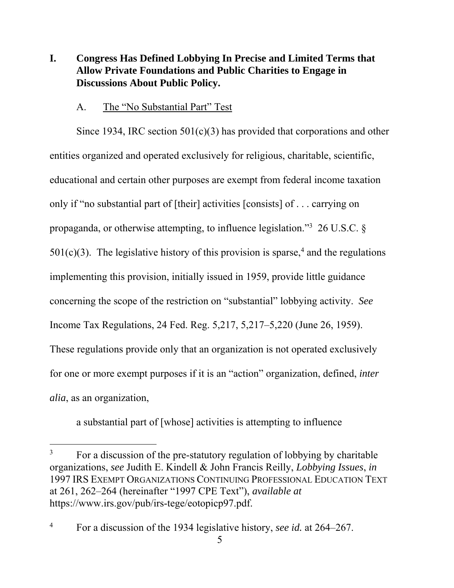## **I. Congress Has Defined Lobbying In Precise and Limited Terms that Allow Private Foundations and Public Charities to Engage in Discussions About Public Policy.**

#### A. The "No Substantial Part" Test

Since 1934, IRC section  $501(c)(3)$  has provided that corporations and other entities organized and operated exclusively for religious, charitable, scientific, educational and certain other purposes are exempt from federal income taxation only if "no substantial part of [their] activities [consists] of . . . carrying on propaganda, or otherwise attempting, to influence legislation."<sup>3</sup> 26 U.S.C.  $\S$  $501(c)(3)$ . The legislative history of this provision is sparse,<sup>4</sup> and the regulations implementing this provision, initially issued in 1959, provide little guidance concerning the scope of the restriction on "substantial" lobbying activity. *See*  Income Tax Regulations, 24 Fed. Reg. 5,217, 5,217–5,220 (June 26, 1959). These regulations provide only that an organization is not operated exclusively for one or more exempt purposes if it is an "action" organization, defined, *inter alia*, as an organization,

a substantial part of [whose] activities is attempting to influence

<u>.</u>

<sup>3</sup> For a discussion of the pre-statutory regulation of lobbying by charitable organizations, *see* Judith E. Kindell & John Francis Reilly, *Lobbying Issues*, *in* 1997 IRS EXEMPT ORGANIZATIONS CONTINUING PROFESSIONAL EDUCATION TEXT at 261, 262–264 (hereinafter "1997 CPE Text"), *available at*  https://www.irs.gov/pub/irs-tege/eotopicp97.pdf.

<sup>4</sup> For a discussion of the 1934 legislative history, *see id.* at 264–267.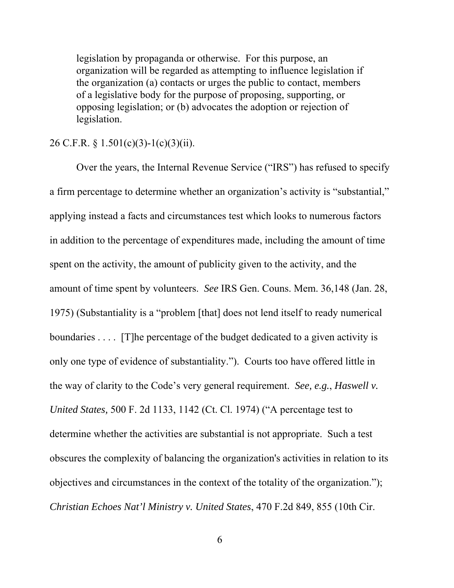legislation by propaganda or otherwise. For this purpose, an organization will be regarded as attempting to influence legislation if the organization (a) contacts or urges the public to contact, members of a legislative body for the purpose of proposing, supporting, or opposing legislation; or (b) advocates the adoption or rejection of legislation.

#### 26 C.F.R. § 1.501(c)(3)-1(c)(3)(ii).

Over the years, the Internal Revenue Service ("IRS") has refused to specify a firm percentage to determine whether an organization's activity is "substantial," applying instead a facts and circumstances test which looks to numerous factors in addition to the percentage of expenditures made, including the amount of time spent on the activity, the amount of publicity given to the activity, and the amount of time spent by volunteers. *See* IRS Gen. Couns. Mem. 36,148 (Jan. 28, 1975) (Substantiality is a "problem [that] does not lend itself to ready numerical boundaries .... [T] he percentage of the budget dedicated to a given activity is only one type of evidence of substantiality."). Courts too have offered little in the way of clarity to the Code's very general requirement. *See, e.g.*, *Haswell v. United States,* 500 F. 2d 1133, 1142 (Ct. Cl. 1974) ("A percentage test to determine whether the activities are substantial is not appropriate. Such a test obscures the complexity of balancing the organization's activities in relation to its objectives and circumstances in the context of the totality of the organization."); *Christian Echoes Nat'l Ministry v. United States*, 470 F.2d 849, 855 (10th Cir.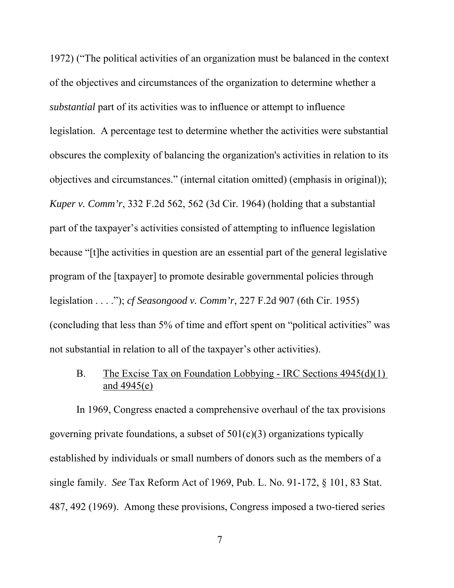1972) ("The political activities of an organization must be balanced in the context of the objectives and circumstances of the organization to determine whether a *substantial* part of its activities was to influence or attempt to influence legislation. A percentage test to determine whether the activities were substantial obscures the complexity of balancing the organization's activities in relation to its objectives and circumstances." (internal citation omitted) (emphasis in original)); *Kuper v. Comm'r*, 332 F.2d 562, 562 (3d Cir. 1964) (holding that a substantial part of the taxpayer's activities consisted of attempting to influence legislation because "[t]he activities in question are an essential part of the general legislative program of the [taxpayer] to promote desirable governmental policies through legislation . . . ."); *cf Seasongood v. Comm'r*, 227 F.2d 907 (6th Cir. 1955) (concluding that less than 5% of time and effort spent on "political activities" was not substantial in relation to all of the taxpayer's other activities).

B. The Excise Tax on Foundation Lobbying - IRC Sections 4945(d)(1) and 4945(e)

In 1969, Congress enacted a comprehensive overhaul of the tax provisions governing private foundations, a subset of  $501(c)(3)$  organizations typically established by individuals or small numbers of donors such as the members of a single family. *See* Tax Reform Act of 1969, Pub. L. No. 91-172, § 101, 83 Stat. 487, 492 (1969). Among these provisions, Congress imposed a two-tiered series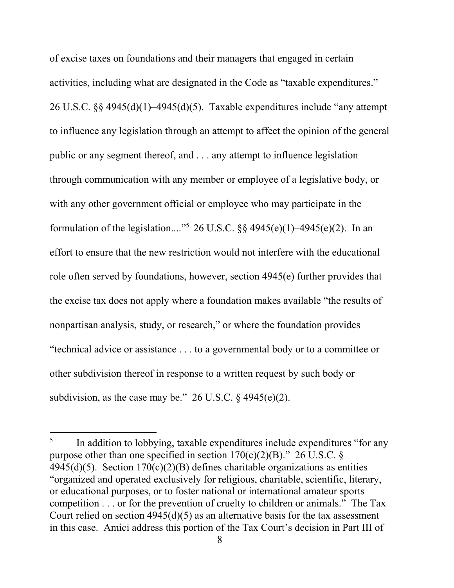of excise taxes on foundations and their managers that engaged in certain activities, including what are designated in the Code as "taxable expenditures." 26 U.S.C. §§ 4945(d)(1)–4945(d)(5). Taxable expenditures include "any attempt to influence any legislation through an attempt to affect the opinion of the general public or any segment thereof, and . . . any attempt to influence legislation through communication with any member or employee of a legislative body, or with any other government official or employee who may participate in the formulation of the legislation...."<sup>5</sup> 26 U.S.C. §§ 4945(e)(1)–4945(e)(2). In an effort to ensure that the new restriction would not interfere with the educational role often served by foundations, however, section 4945(e) further provides that the excise tax does not apply where a foundation makes available "the results of nonpartisan analysis, study, or research," or where the foundation provides "technical advice or assistance . . . to a governmental body or to a committee or other subdivision thereof in response to a written request by such body or subdivision, as the case may be."  $26$  U.S.C. § 4945(e)(2).

1

<sup>&</sup>lt;sup>5</sup> In addition to lobbying, taxable expenditures include expenditures "for any purpose other than one specified in section  $170(c)(2)(B)$ ." 26 U.S.C. §  $4945(d)(5)$ . Section  $170(c)(2)(B)$  defines charitable organizations as entities "organized and operated exclusively for religious, charitable, scientific, literary, or educational purposes, or to foster national or international amateur sports competition . . . or for the prevention of cruelty to children or animals." The Tax Court relied on section  $4945(d)(5)$  as an alternative basis for the tax assessment in this case. Amici address this portion of the Tax Court's decision in Part III of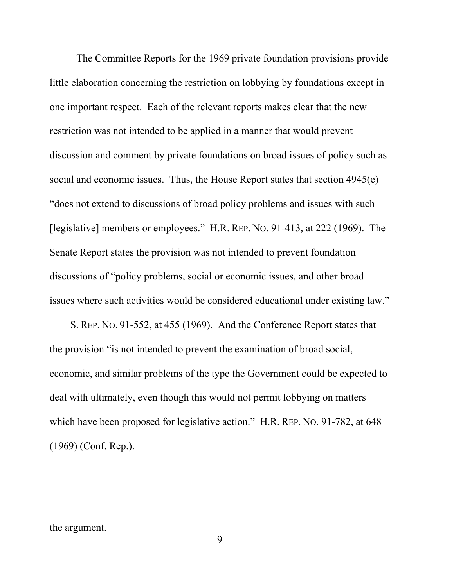The Committee Reports for the 1969 private foundation provisions provide little elaboration concerning the restriction on lobbying by foundations except in one important respect. Each of the relevant reports makes clear that the new restriction was not intended to be applied in a manner that would prevent discussion and comment by private foundations on broad issues of policy such as social and economic issues. Thus, the House Report states that section 4945(e) "does not extend to discussions of broad policy problems and issues with such [legislative] members or employees." H.R. REP. NO. 91-413, at 222 (1969). The Senate Report states the provision was not intended to prevent foundation discussions of "policy problems, social or economic issues, and other broad issues where such activities would be considered educational under existing law."

 S. REP. NO. 91-552, at 455 (1969). And the Conference Report states that the provision "is not intended to prevent the examination of broad social, economic, and similar problems of the type the Government could be expected to deal with ultimately, even though this would not permit lobbying on matters which have been proposed for legislative action." H.R. REP. NO. 91-782, at 648 (1969) (Conf. Rep.).

the argument.

 $\overline{a}$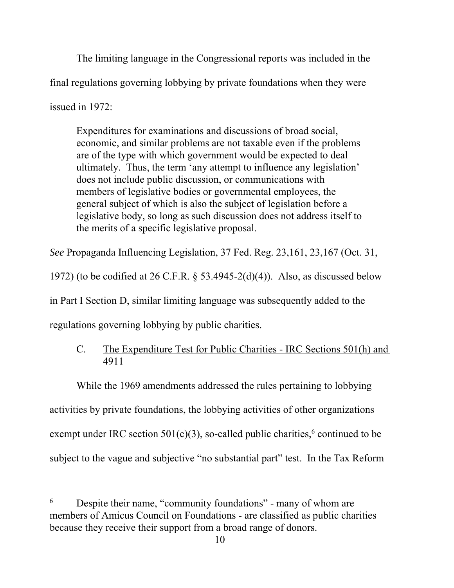The limiting language in the Congressional reports was included in the final regulations governing lobbying by private foundations when they were issued in 1972:

Expenditures for examinations and discussions of broad social, economic, and similar problems are not taxable even if the problems are of the type with which government would be expected to deal ultimately. Thus, the term 'any attempt to influence any legislation' does not include public discussion, or communications with members of legislative bodies or governmental employees, the general subject of which is also the subject of legislation before a legislative body, so long as such discussion does not address itself to the merits of a specific legislative proposal.

*See* Propaganda Influencing Legislation, 37 Fed. Reg. 23,161, 23,167 (Oct. 31,

1972) (to be codified at 26 C.F.R. § 53.4945-2(d)(4)). Also, as discussed below

in Part I Section D, similar limiting language was subsequently added to the

regulations governing lobbying by public charities.

1

### C. The Expenditure Test for Public Charities - IRC Sections 501(h) and 4911

While the 1969 amendments addressed the rules pertaining to lobbying activities by private foundations, the lobbying activities of other organizations exempt under IRC section  $501(c)(3)$ , so-called public charities,<sup>6</sup> continued to be subject to the vague and subjective "no substantial part" test. In the Tax Reform

<sup>&</sup>lt;sup>6</sup> Despite their name, "community foundations" - many of whom are members of Amicus Council on Foundations - are classified as public charities because they receive their support from a broad range of donors.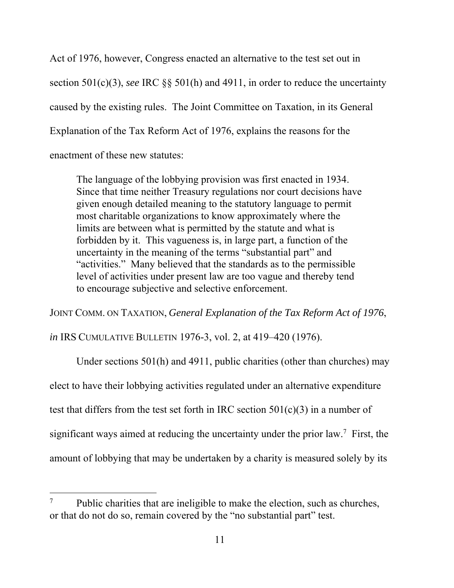Act of 1976, however, Congress enacted an alternative to the test set out in section 501(c)(3), *see* IRC §§ 501(h) and 4911, in order to reduce the uncertainty caused by the existing rules. The Joint Committee on Taxation, in its General Explanation of the Tax Reform Act of 1976, explains the reasons for the enactment of these new statutes:

The language of the lobbying provision was first enacted in 1934. Since that time neither Treasury regulations nor court decisions have given enough detailed meaning to the statutory language to permit most charitable organizations to know approximately where the limits are between what is permitted by the statute and what is forbidden by it. This vagueness is, in large part, a function of the uncertainty in the meaning of the terms "substantial part" and "activities." Many believed that the standards as to the permissible level of activities under present law are too vague and thereby tend to encourage subjective and selective enforcement.

JOINT COMM. ON TAXATION, *General Explanation of the Tax Reform Act of 1976*,

*in* IRS CUMULATIVE BULLETIN 1976-3, vol. 2, at 419–420 (1976).

1

Under sections 501(h) and 4911, public charities (other than churches) may elect to have their lobbying activities regulated under an alternative expenditure test that differs from the test set forth in IRC section  $501(c)(3)$  in a number of significant ways aimed at reducing the uncertainty under the prior law.7 First, the amount of lobbying that may be undertaken by a charity is measured solely by its

<sup>&</sup>lt;sup>7</sup> Public charities that are ineligible to make the election, such as churches, or that do not do so, remain covered by the "no substantial part" test.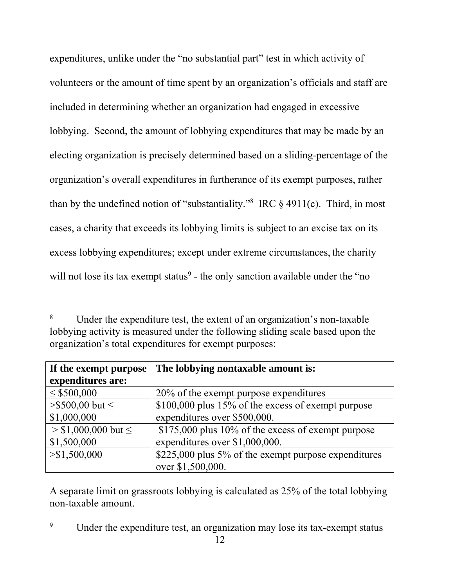expenditures, unlike under the "no substantial part" test in which activity of volunteers or the amount of time spent by an organization's officials and staff are included in determining whether an organization had engaged in excessive lobbying. Second, the amount of lobbying expenditures that may be made by an electing organization is precisely determined based on a sliding-percentage of the organization's overall expenditures in furtherance of its exempt purposes, rather than by the undefined notion of "substantiality."<sup>8</sup> IRC  $\S$  4911(c). Third, in most cases, a charity that exceeds its lobbying limits is subject to an excise tax on its excess lobbying expenditures; except under extreme circumstances, the charity will not lose its tax exempt status $9$  - the only sanction available under the "no

1

| If the exempt purpose    | The lobbying nontaxable amount is:                   |
|--------------------------|------------------------------------------------------|
| expenditures are:        |                                                      |
| $\leq$ \$500,000         | 20% of the exempt purpose expenditures               |
| $> $500,00$ but $\le$    | \$100,000 plus 15% of the excess of exempt purpose   |
| \$1,000,000              | expenditures over \$500,000.                         |
| $> $1,000,000$ but $\le$ | \$175,000 plus 10% of the excess of exempt purpose   |
| \$1,500,000              | expenditures over \$1,000,000.                       |
| > \$1,500,000            | \$225,000 plus 5% of the exempt purpose expenditures |
|                          | over \$1,500,000.                                    |

A separate limit on grassroots lobbying is calculated as 25% of the total lobbying non-taxable amount.

<sup>8</sup> Under the expenditure test, the extent of an organization's non-taxable lobbying activity is measured under the following sliding scale based upon the organization's total expenditures for exempt purposes:

<sup>9</sup> Under the expenditure test, an organization may lose its tax-exempt status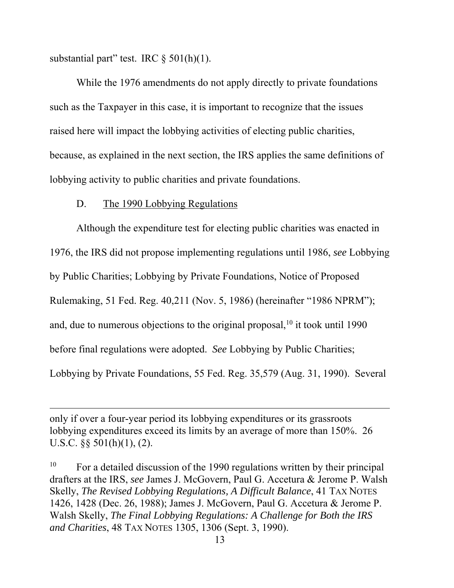substantial part" test. IRC § 501(h)(1).

While the 1976 amendments do not apply directly to private foundations such as the Taxpayer in this case, it is important to recognize that the issues raised here will impact the lobbying activities of electing public charities, because, as explained in the next section, the IRS applies the same definitions of lobbying activity to public charities and private foundations.

#### D. The 1990 Lobbying Regulations

 $\overline{a}$ 

Although the expenditure test for electing public charities was enacted in 1976, the IRS did not propose implementing regulations until 1986, *see* Lobbying by Public Charities; Lobbying by Private Foundations, Notice of Proposed Rulemaking, 51 Fed. Reg. 40,211 (Nov. 5, 1986) (hereinafter "1986 NPRM"); and, due to numerous objections to the original proposal,  $10$  it took until 1990 before final regulations were adopted. *See* Lobbying by Public Charities; Lobbying by Private Foundations, 55 Fed. Reg. 35,579 (Aug. 31, 1990). Several

only if over a four-year period its lobbying expenditures or its grassroots lobbying expenditures exceed its limits by an average of more than 150%. 26 U.S.C. §§ 501(h)(1), (2).

<sup>10</sup> For a detailed discussion of the 1990 regulations written by their principal drafters at the IRS, *see* James J. McGovern, Paul G. Accetura & Jerome P. Walsh Skelly, *The Revised Lobbying Regulations, A Difficult Balance*, 41 TAX NOTES 1426, 1428 (Dec. 26, 1988); James J. McGovern, Paul G. Accetura & Jerome P. Walsh Skelly, *The Final Lobbying Regulations: A Challenge for Both the IRS and Charities*, 48 TAX NOTES 1305, 1306 (Sept. 3, 1990).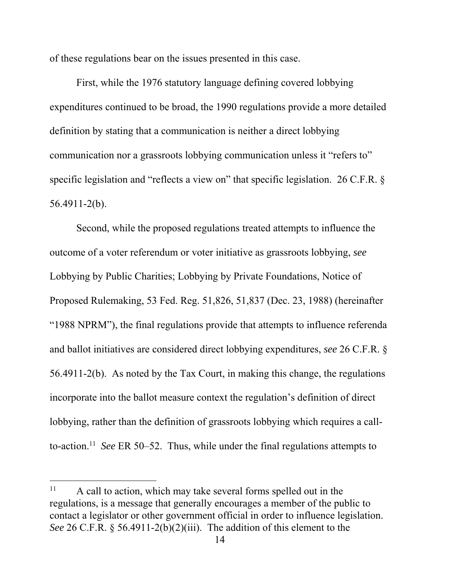of these regulations bear on the issues presented in this case.

First, while the 1976 statutory language defining covered lobbying expenditures continued to be broad, the 1990 regulations provide a more detailed definition by stating that a communication is neither a direct lobbying communication nor a grassroots lobbying communication unless it "refers to" specific legislation and "reflects a view on" that specific legislation. 26 C.F.R. § 56.4911-2(b).

Second, while the proposed regulations treated attempts to influence the outcome of a voter referendum or voter initiative as grassroots lobbying, *see*  Lobbying by Public Charities; Lobbying by Private Foundations, Notice of Proposed Rulemaking, 53 Fed. Reg. 51,826, 51,837 (Dec. 23, 1988) (hereinafter "1988 NPRM"), the final regulations provide that attempts to influence referenda and ballot initiatives are considered direct lobbying expenditures, *see* 26 C.F.R. § 56.4911-2(b). As noted by the Tax Court, in making this change, the regulations incorporate into the ballot measure context the regulation's definition of direct lobbying, rather than the definition of grassroots lobbying which requires a callto-action.11 *See* ER 50–52. Thus, while under the final regulations attempts to

1

<sup>&</sup>lt;sup>11</sup> A call to action, which may take several forms spelled out in the regulations, is a message that generally encourages a member of the public to contact a legislator or other government official in order to influence legislation. *See* 26 C.F.R. § 56.4911-2(b)(2)(iii). The addition of this element to the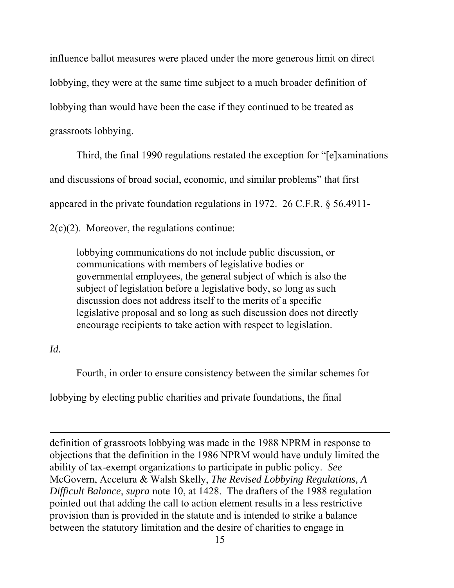influence ballot measures were placed under the more generous limit on direct lobbying, they were at the same time subject to a much broader definition of lobbying than would have been the case if they continued to be treated as grassroots lobbying.

Third, the final 1990 regulations restated the exception for "[e]xaminations and discussions of broad social, economic, and similar problems" that first appeared in the private foundation regulations in 1972. 26 C.F.R. § 56.4911-  $2(c)(2)$ . Moreover, the regulations continue:

lobbying communications do not include public discussion, or communications with members of legislative bodies or governmental employees, the general subject of which is also the subject of legislation before a legislative body, so long as such discussion does not address itself to the merits of a specific legislative proposal and so long as such discussion does not directly encourage recipients to take action with respect to legislation.

#### *Id.*

 $\overline{a}$ 

Fourth, in order to ensure consistency between the similar schemes for

lobbying by electing public charities and private foundations, the final

definition of grassroots lobbying was made in the 1988 NPRM in response to objections that the definition in the 1986 NPRM would have unduly limited the ability of tax-exempt organizations to participate in public policy. *See* McGovern, Accetura & Walsh Skelly, *The Revised Lobbying Regulations, A Difficult Balance*, *supra* note 10, at 1428. The drafters of the 1988 regulation pointed out that adding the call to action element results in a less restrictive provision than is provided in the statute and is intended to strike a balance between the statutory limitation and the desire of charities to engage in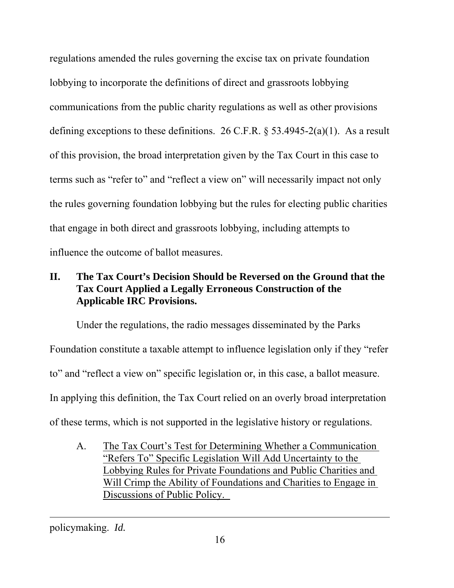regulations amended the rules governing the excise tax on private foundation lobbying to incorporate the definitions of direct and grassroots lobbying communications from the public charity regulations as well as other provisions defining exceptions to these definitions. 26 C.F.R.  $\frac{1}{2}$  53.4945-2(a)(1). As a result of this provision, the broad interpretation given by the Tax Court in this case to terms such as "refer to" and "reflect a view on" will necessarily impact not only the rules governing foundation lobbying but the rules for electing public charities that engage in both direct and grassroots lobbying, including attempts to influence the outcome of ballot measures.

## **II. The Tax Court's Decision Should be Reversed on the Ground that the Tax Court Applied a Legally Erroneous Construction of the Applicable IRC Provisions.**

 Under the regulations, the radio messages disseminated by the Parks Foundation constitute a taxable attempt to influence legislation only if they "refer to" and "reflect a view on" specific legislation or, in this case, a ballot measure. In applying this definition, the Tax Court relied on an overly broad interpretation of these terms, which is not supported in the legislative history or regulations.

A. The Tax Court's Test for Determining Whether a Communication "Refers To" Specific Legislation Will Add Uncertainty to the Lobbying Rules for Private Foundations and Public Charities and Will Crimp the Ability of Foundations and Charities to Engage in Discussions of Public Policy.

policymaking. *Id.*

 $\overline{a}$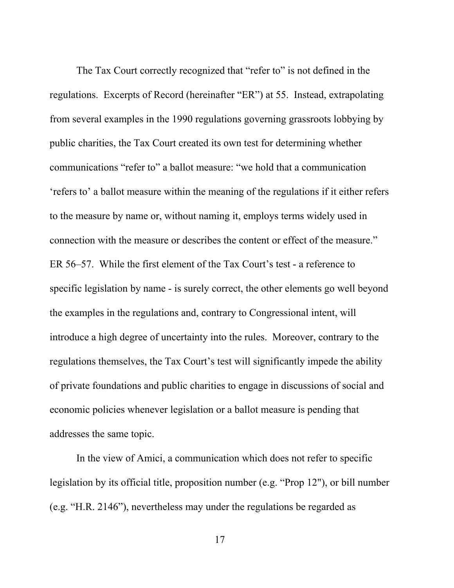The Tax Court correctly recognized that "refer to" is not defined in the regulations. Excerpts of Record (hereinafter "ER") at 55. Instead, extrapolating from several examples in the 1990 regulations governing grassroots lobbying by public charities, the Tax Court created its own test for determining whether communications "refer to" a ballot measure: "we hold that a communication 'refers to' a ballot measure within the meaning of the regulations if it either refers to the measure by name or, without naming it, employs terms widely used in connection with the measure or describes the content or effect of the measure." ER 56–57. While the first element of the Tax Court's test - a reference to specific legislation by name - is surely correct, the other elements go well beyond the examples in the regulations and, contrary to Congressional intent, will introduce a high degree of uncertainty into the rules. Moreover, contrary to the regulations themselves, the Tax Court's test will significantly impede the ability of private foundations and public charities to engage in discussions of social and economic policies whenever legislation or a ballot measure is pending that addresses the same topic.

 In the view of Amici, a communication which does not refer to specific legislation by its official title, proposition number (e.g. "Prop 12"), or bill number (e.g. "H.R. 2146"), nevertheless may under the regulations be regarded as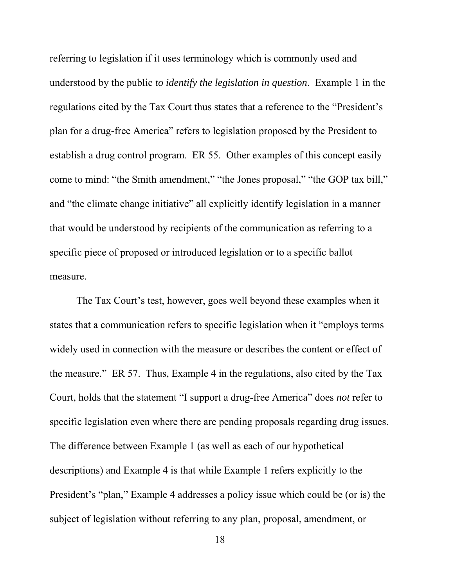referring to legislation if it uses terminology which is commonly used and understood by the public *to identify the legislation in question*. Example 1 in the regulations cited by the Tax Court thus states that a reference to the "President's plan for a drug-free America" refers to legislation proposed by the President to establish a drug control program. ER 55. Other examples of this concept easily come to mind: "the Smith amendment," "the Jones proposal," "the GOP tax bill," and "the climate change initiative" all explicitly identify legislation in a manner that would be understood by recipients of the communication as referring to a specific piece of proposed or introduced legislation or to a specific ballot measure.

 The Tax Court's test, however, goes well beyond these examples when it states that a communication refers to specific legislation when it "employs terms widely used in connection with the measure or describes the content or effect of the measure." ER 57. Thus, Example 4 in the regulations, also cited by the Tax Court, holds that the statement "I support a drug-free America" does *not* refer to specific legislation even where there are pending proposals regarding drug issues. The difference between Example 1 (as well as each of our hypothetical descriptions) and Example 4 is that while Example 1 refers explicitly to the President's "plan," Example 4 addresses a policy issue which could be (or is) the subject of legislation without referring to any plan, proposal, amendment, or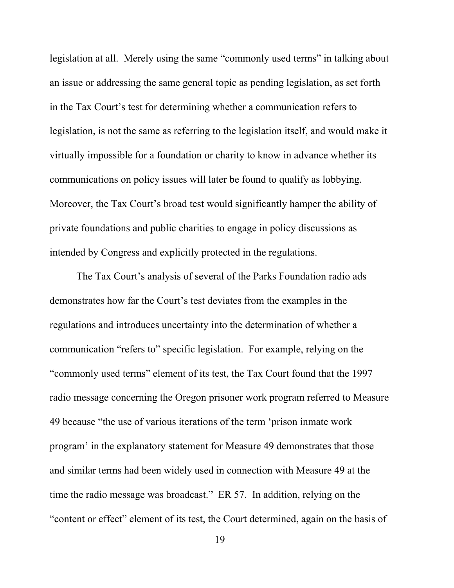legislation at all. Merely using the same "commonly used terms" in talking about an issue or addressing the same general topic as pending legislation, as set forth in the Tax Court's test for determining whether a communication refers to legislation, is not the same as referring to the legislation itself, and would make it virtually impossible for a foundation or charity to know in advance whether its communications on policy issues will later be found to qualify as lobbying. Moreover, the Tax Court's broad test would significantly hamper the ability of private foundations and public charities to engage in policy discussions as intended by Congress and explicitly protected in the regulations.

 The Tax Court's analysis of several of the Parks Foundation radio ads demonstrates how far the Court's test deviates from the examples in the regulations and introduces uncertainty into the determination of whether a communication "refers to" specific legislation. For example, relying on the "commonly used terms" element of its test, the Tax Court found that the 1997 radio message concerning the Oregon prisoner work program referred to Measure 49 because "the use of various iterations of the term 'prison inmate work program' in the explanatory statement for Measure 49 demonstrates that those and similar terms had been widely used in connection with Measure 49 at the time the radio message was broadcast." ER 57. In addition, relying on the "content or effect" element of its test, the Court determined, again on the basis of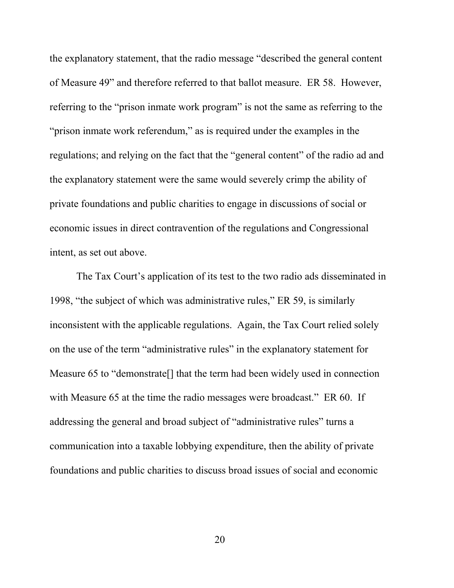the explanatory statement, that the radio message "described the general content of Measure 49" and therefore referred to that ballot measure. ER 58. However, referring to the "prison inmate work program" is not the same as referring to the "prison inmate work referendum," as is required under the examples in the regulations; and relying on the fact that the "general content" of the radio ad and the explanatory statement were the same would severely crimp the ability of private foundations and public charities to engage in discussions of social or economic issues in direct contravention of the regulations and Congressional intent, as set out above.

 The Tax Court's application of its test to the two radio ads disseminated in 1998, "the subject of which was administrative rules," ER 59, is similarly inconsistent with the applicable regulations. Again, the Tax Court relied solely on the use of the term "administrative rules" in the explanatory statement for Measure 65 to "demonstrate[] that the term had been widely used in connection with Measure 65 at the time the radio messages were broadcast." ER 60. If addressing the general and broad subject of "administrative rules" turns a communication into a taxable lobbying expenditure, then the ability of private foundations and public charities to discuss broad issues of social and economic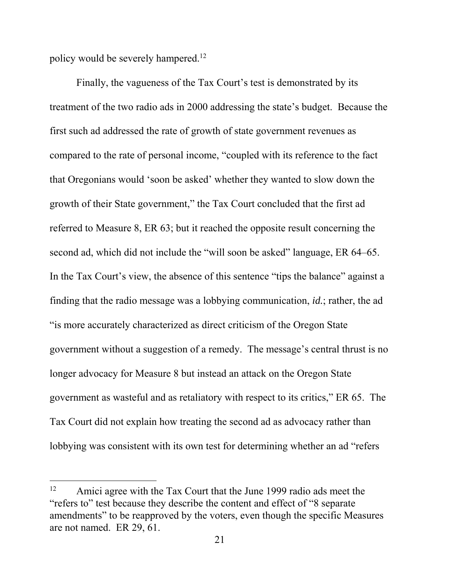policy would be severely hampered.<sup>12</sup>

1

 Finally, the vagueness of the Tax Court's test is demonstrated by its treatment of the two radio ads in 2000 addressing the state's budget. Because the first such ad addressed the rate of growth of state government revenues as compared to the rate of personal income, "coupled with its reference to the fact that Oregonians would 'soon be asked' whether they wanted to slow down the growth of their State government," the Tax Court concluded that the first ad referred to Measure 8, ER 63; but it reached the opposite result concerning the second ad, which did not include the "will soon be asked" language, ER 64–65. In the Tax Court's view, the absence of this sentence "tips the balance" against a finding that the radio message was a lobbying communication, *id.*; rather, the ad "is more accurately characterized as direct criticism of the Oregon State government without a suggestion of a remedy. The message's central thrust is no longer advocacy for Measure 8 but instead an attack on the Oregon State government as wasteful and as retaliatory with respect to its critics," ER 65. The Tax Court did not explain how treating the second ad as advocacy rather than lobbying was consistent with its own test for determining whether an ad "refers

<sup>&</sup>lt;sup>12</sup> Amici agree with the Tax Court that the June 1999 radio ads meet the "refers to" test because they describe the content and effect of "8 separate amendments" to be reapproved by the voters, even though the specific Measures are not named. ER 29, 61.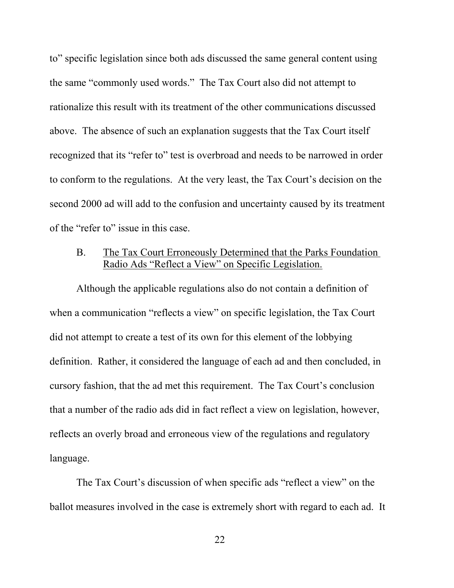to" specific legislation since both ads discussed the same general content using the same "commonly used words." The Tax Court also did not attempt to rationalize this result with its treatment of the other communications discussed above. The absence of such an explanation suggests that the Tax Court itself recognized that its "refer to" test is overbroad and needs to be narrowed in order to conform to the regulations. At the very least, the Tax Court's decision on the second 2000 ad will add to the confusion and uncertainty caused by its treatment of the "refer to" issue in this case.

 B. The Tax Court Erroneously Determined that the Parks Foundation Radio Ads "Reflect a View" on Specific Legislation.

 Although the applicable regulations also do not contain a definition of when a communication "reflects a view" on specific legislation, the Tax Court did not attempt to create a test of its own for this element of the lobbying definition. Rather, it considered the language of each ad and then concluded, in cursory fashion, that the ad met this requirement. The Tax Court's conclusion that a number of the radio ads did in fact reflect a view on legislation, however, reflects an overly broad and erroneous view of the regulations and regulatory language.

 The Tax Court's discussion of when specific ads "reflect a view" on the ballot measures involved in the case is extremely short with regard to each ad. It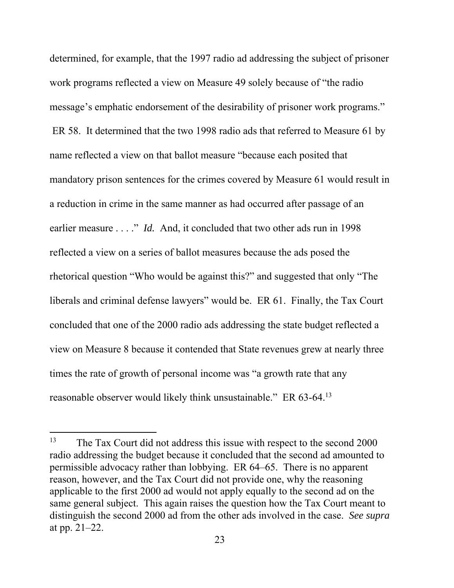determined, for example, that the 1997 radio ad addressing the subject of prisoner work programs reflected a view on Measure 49 solely because of "the radio message's emphatic endorsement of the desirability of prisoner work programs." ER 58. It determined that the two 1998 radio ads that referred to Measure 61 by name reflected a view on that ballot measure "because each posited that mandatory prison sentences for the crimes covered by Measure 61 would result in a reduction in crime in the same manner as had occurred after passage of an earlier measure . . . ." *Id.* And, it concluded that two other ads run in 1998 reflected a view on a series of ballot measures because the ads posed the rhetorical question "Who would be against this?" and suggested that only "The liberals and criminal defense lawyers" would be. ER 61. Finally, the Tax Court concluded that one of the 2000 radio ads addressing the state budget reflected a view on Measure 8 because it contended that State revenues grew at nearly three times the rate of growth of personal income was "a growth rate that any reasonable observer would likely think unsustainable." ER 63-64.13

1

 $13$  The Tax Court did not address this issue with respect to the second 2000 radio addressing the budget because it concluded that the second ad amounted to permissible advocacy rather than lobbying. ER 64–65. There is no apparent reason, however, and the Tax Court did not provide one, why the reasoning applicable to the first 2000 ad would not apply equally to the second ad on the same general subject. This again raises the question how the Tax Court meant to distinguish the second 2000 ad from the other ads involved in the case. *See supra* at pp. 21–22.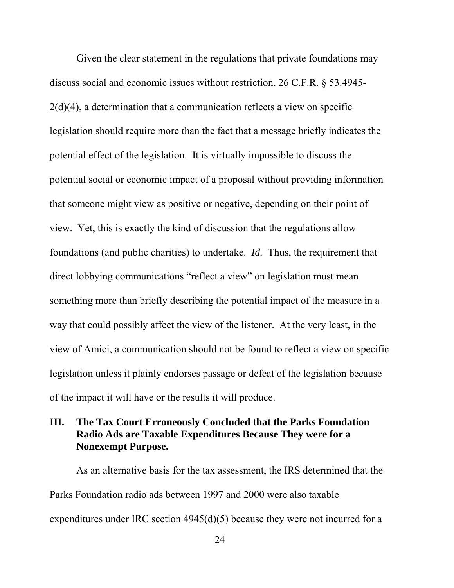Given the clear statement in the regulations that private foundations may discuss social and economic issues without restriction, 26 C.F.R. § 53.4945- 2(d)(4), a determination that a communication reflects a view on specific legislation should require more than the fact that a message briefly indicates the potential effect of the legislation. It is virtually impossible to discuss the potential social or economic impact of a proposal without providing information that someone might view as positive or negative, depending on their point of view. Yet, this is exactly the kind of discussion that the regulations allow foundations (and public charities) to undertake. *Id.* Thus, the requirement that direct lobbying communications "reflect a view" on legislation must mean something more than briefly describing the potential impact of the measure in a way that could possibly affect the view of the listener. At the very least, in the view of Amici, a communication should not be found to reflect a view on specific legislation unless it plainly endorses passage or defeat of the legislation because of the impact it will have or the results it will produce.

### **III. The Tax Court Erroneously Concluded that the Parks Foundation Radio Ads are Taxable Expenditures Because They were for a Nonexempt Purpose.**

 As an alternative basis for the tax assessment, the IRS determined that the Parks Foundation radio ads between 1997 and 2000 were also taxable expenditures under IRC section 4945(d)(5) because they were not incurred for a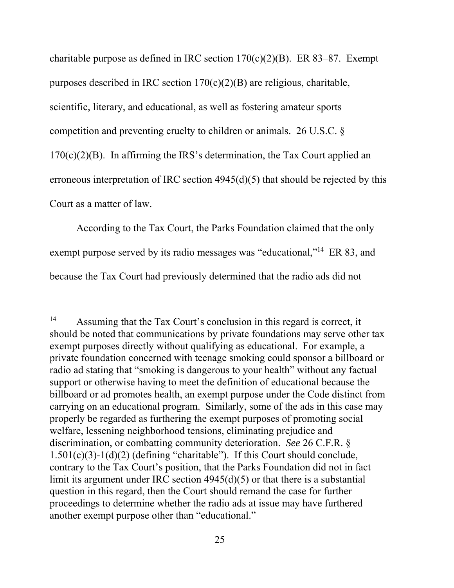charitable purpose as defined in IRC section  $170(c)(2)(B)$ . ER 83–87. Exempt purposes described in IRC section  $170(c)(2)(B)$  are religious, charitable, scientific, literary, and educational, as well as fostering amateur sports competition and preventing cruelty to children or animals. 26 U.S.C. §  $170(c)(2)(B)$ . In affirming the IRS's determination, the Tax Court applied an erroneous interpretation of IRC section 4945(d)(5) that should be rejected by this Court as a matter of law.

 According to the Tax Court, the Parks Foundation claimed that the only exempt purpose served by its radio messages was "educational,"<sup>14</sup> ER 83, and because the Tax Court had previously determined that the radio ads did not

1

<sup>&</sup>lt;sup>14</sup> Assuming that the Tax Court's conclusion in this regard is correct, it should be noted that communications by private foundations may serve other tax exempt purposes directly without qualifying as educational. For example, a private foundation concerned with teenage smoking could sponsor a billboard or radio ad stating that "smoking is dangerous to your health" without any factual support or otherwise having to meet the definition of educational because the billboard or ad promotes health, an exempt purpose under the Code distinct from carrying on an educational program. Similarly, some of the ads in this case may properly be regarded as furthering the exempt purposes of promoting social welfare, lessening neighborhood tensions, eliminating prejudice and discrimination, or combatting community deterioration. *See* 26 C.F.R. § 1.501(c)(3)-1(d)(2) (defining "charitable"). If this Court should conclude, contrary to the Tax Court's position, that the Parks Foundation did not in fact limit its argument under IRC section 4945(d)(5) or that there is a substantial question in this regard, then the Court should remand the case for further proceedings to determine whether the radio ads at issue may have furthered another exempt purpose other than "educational."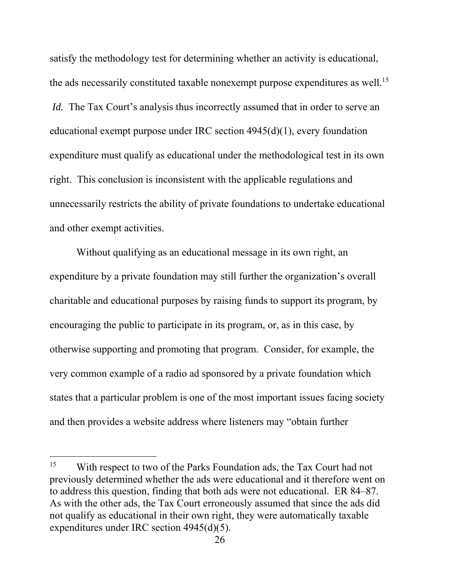satisfy the methodology test for determining whether an activity is educational, the ads necessarily constituted taxable nonexempt purpose expenditures as well.<sup>15</sup> *Id.* The Tax Court's analysis thus incorrectly assumed that in order to serve an educational exempt purpose under IRC section 4945(d)(1), every foundation expenditure must qualify as educational under the methodological test in its own right. This conclusion is inconsistent with the applicable regulations and unnecessarily restricts the ability of private foundations to undertake educational and other exempt activities.

 Without qualifying as an educational message in its own right, an expenditure by a private foundation may still further the organization's overall charitable and educational purposes by raising funds to support its program, by encouraging the public to participate in its program, or, as in this case, by otherwise supporting and promoting that program. Consider, for example, the very common example of a radio ad sponsored by a private foundation which states that a particular problem is one of the most important issues facing society and then provides a website address where listeners may "obtain further

1

<sup>&</sup>lt;sup>15</sup> With respect to two of the Parks Foundation ads, the Tax Court had not previously determined whether the ads were educational and it therefore went on to address this question, finding that both ads were not educational. ER 84–87. As with the other ads, the Tax Court erroneously assumed that since the ads did not qualify as educational in their own right, they were automatically taxable expenditures under IRC section 4945(d)(5).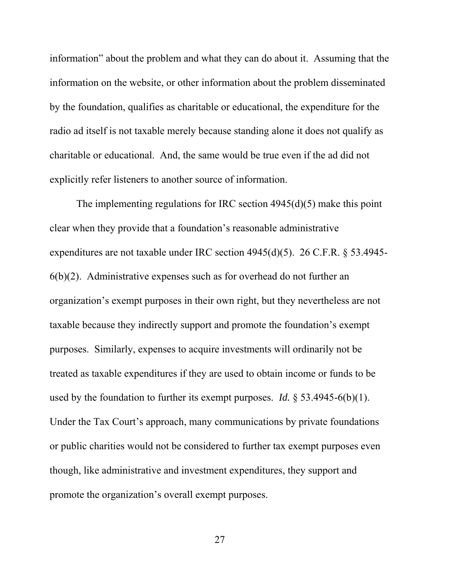information" about the problem and what they can do about it. Assuming that the information on the website, or other information about the problem disseminated by the foundation, qualifies as charitable or educational, the expenditure for the radio ad itself is not taxable merely because standing alone it does not qualify as charitable or educational. And, the same would be true even if the ad did not explicitly refer listeners to another source of information.

 The implementing regulations for IRC section 4945(d)(5) make this point clear when they provide that a foundation's reasonable administrative expenditures are not taxable under IRC section 4945(d)(5). 26 C.F.R. § 53.4945-  $6(b)(2)$ . Administrative expenses such as for overhead do not further an organization's exempt purposes in their own right, but they nevertheless are not taxable because they indirectly support and promote the foundation's exempt purposes. Similarly, expenses to acquire investments will ordinarily not be treated as taxable expenditures if they are used to obtain income or funds to be used by the foundation to further its exempt purposes. *Id.* § 53.4945-6(b)(1). Under the Tax Court's approach, many communications by private foundations or public charities would not be considered to further tax exempt purposes even though, like administrative and investment expenditures, they support and promote the organization's overall exempt purposes.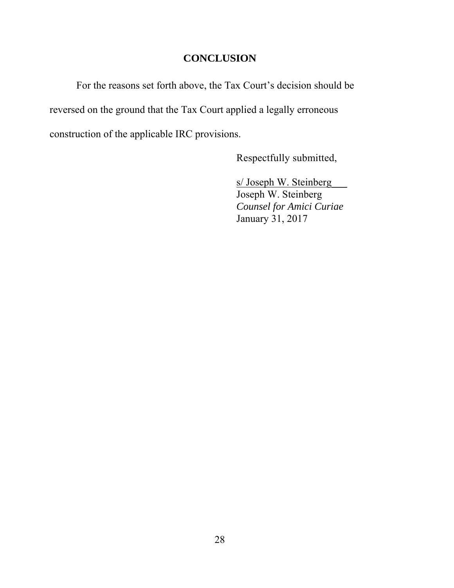### **CONCLUSION**

For the reasons set forth above, the Tax Court's decision should be reversed on the ground that the Tax Court applied a legally erroneous construction of the applicable IRC provisions.

Respectfully submitted,

s/ Joseph W. Steinberg Joseph W. Steinberg *Counsel for Amici Curiae*  January 31, 2017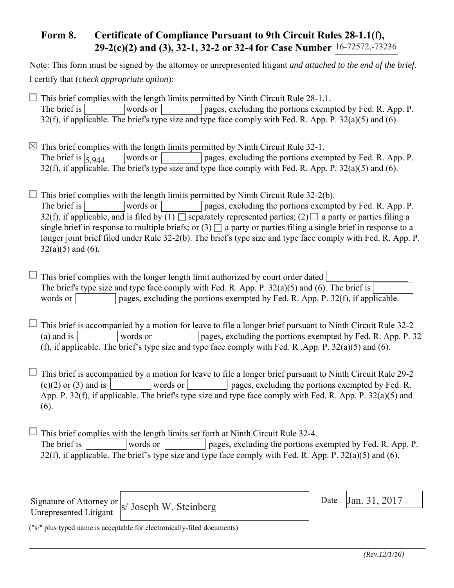### **Form 8. Certificate of Compliance Pursuant to 9th Circuit Rules 28-1.1(f), 29-2(c)(2) and (3), 32-1, 32-2 or 32-4 for Case Number** 16-72572,-73236

Note: This form must be signed by the attorney or unrepresented litigant *and attached to the end of the brief.* I certify that (*check appropriate option*):

 $\Box$  This brief complies with the length limits permitted by Ninth Circuit Rule 28-1.1. The brief is words or pages, excluding the portions exempted by Fed. R. App. P. 32(f), if applicable. The brief's type size and type face comply with Fed. R. App. P.  $32(a)(5)$  and (6).

 $\boxtimes$  This brief complies with the length limits permitted by Ninth Circuit Rule 32-1. words or pages, excluding the portions exempted by Fed. R. App. P. 32(f), if applicable. The brief's type size and type face comply with Fed. R. App. P.  $32(a)(5)$  and (6). The brief is  $\overline{5,944}$ 

 $\Box$  This brief complies with the length limits permitted by Ninth Circuit Rule 32-2(b). The brief is words or pages, excluding the portions exempted by Fed. R. App. P. 32(f), if applicable, and is filed by  $(1)$  separately represented parties;  $(2)$  a party or parties filing a single brief in response to multiple briefs; or  $(3)$  a party or parties filing a single brief in response to a longer joint brief filed under Rule 32-2(b). The brief's type size and type face comply with Fed. R. App. P.  $32(a)(5)$  and (6).

 $\Box$  This brief complies with the longer length limit authorized by court order dated The brief's type size and type face comply with Fed. R. App. P. 32(a)(5) and (6). The brief is words or pages, excluding the portions exempted by Fed. R. App. P.  $32(f)$ , if applicable.

 $\Box$  This brief is accompanied by a motion for leave to file a longer brief pursuant to Ninth Circuit Rule 32-2 (a) and is words or pages, excluding the portions exempted by Fed. R. App. P. 32 (f), if applicable. The brief's type size and type face comply with Fed. R .App. P. 32(a)(5) and (6).

 $\Box$  This brief is accompanied by a motion for leave to file a longer brief pursuant to Ninth Circuit Rule 29-2  $(c)(2)$  or (3) and is words or words or pages, excluding the portions exempted by Fed. R. App. P. 32(f), if applicable. The brief's type size and type face comply with Fed. R. App. P. 32(a)(5) and (6).

 $\Box$  This brief complies with the length limits set forth at Ninth Circuit Rule 32-4. The brief is words or words or pages, excluding the portions exempted by Fed. R. App. P. 32(f), if applicable. The brief's type size and type face comply with Fed. R. App. P.  $32(a)(5)$  and (6).

Signature of Attorney or Unrepresented Litigant

 $\vert$  Date  $\vert$  Jan. 31, 2017

Date

("s/" plus typed name is acceptable for electronically-filed documents)